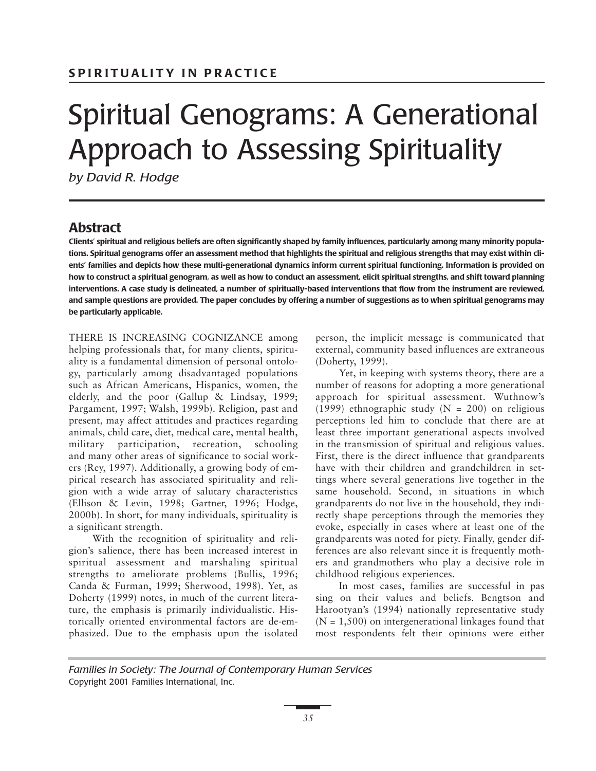# Spiritual Genograms: A Generational Approach to Assessing Spirituality

*by David R. Hodge*

## Abstract

Clients' spiritual and religious beliefs are often significantly shaped by family influences, particularly among many minority populations. Spiritual genograms offer an assessment method that highlights the spiritual and religious strengths that may exist within clients' families and depicts how these multi-generational dynamics inform current spiritual functioning. Information is provided on how to construct a spiritual genogram, as well as how to conduct an assessment, elicit spiritual strengths, and shift toward planning interventions. A case study is delineated, a number of spiritually-based interventions that flow from the instrument are reviewed, and sample questions are provided. The paper concludes by offering a number of suggestions as to when spiritual genograms may be particularly applicable.

THERE IS INCREASING COGNIZANCE among helping professionals that, for many clients, spirituality is a fundamental dimension of personal ontology, particularly among disadvantaged populations such as African Americans, Hispanics, women, the elderly, and the poor (Gallup & Lindsay, 1999; Pargament, 1997; Walsh, 1999b). Religion, past and present, may affect attitudes and practices regarding animals, child care, diet, medical care, mental health, military participation, recreation, schooling and many other areas of significance to social workers (Rey, 1997). Additionally, a growing body of empirical research has associated spirituality and religion with a wide array of salutary characteristics (Ellison & Levin, 1998; Gartner, 1996; Hodge, 2000b). In short, for many individuals, spirituality is a significant strength.

With the recognition of spirituality and religion's salience, there has been increased interest in spiritual assessment and marshaling spiritual strengths to ameliorate problems (Bullis, 1996; Canda & Furman, 1999; Sherwood, 1998). Yet, as Doherty (1999) notes, in much of the current literature, the emphasis is primarily individualistic. Historically oriented environmental factors are de-emphasized. Due to the emphasis upon the isolated

person, the implicit message is communicated that external, community based influences are extraneous (Doherty, 1999).

Yet, in keeping with systems theory, there are a number of reasons for adopting a more generational approach for spiritual assessment. Wuthnow's (1999) ethnographic study ( $N = 200$ ) on religious perceptions led him to conclude that there are at least three important generational aspects involved in the transmission of spiritual and religious values. First, there is the direct influence that grandparents have with their children and grandchildren in settings where several generations live together in the same household. Second, in situations in which grandparents do not live in the household, they indirectly shape perceptions through the memories they evoke, especially in cases where at least one of the grandparents was noted for piety. Finally, gender differences are also relevant since it is frequently mothers and grandmothers who play a decisive role in childhood religious experiences.

In most cases, families are successful in pas sing on their values and beliefs. Bengtson and Harootyan's (1994) nationally representative study  $(N = 1,500)$  on intergenerational linkages found that most respondents felt their opinions were either

*Families in Society: The Journal of Contemporary Human Services* Copyright 2001 Families International, Inc.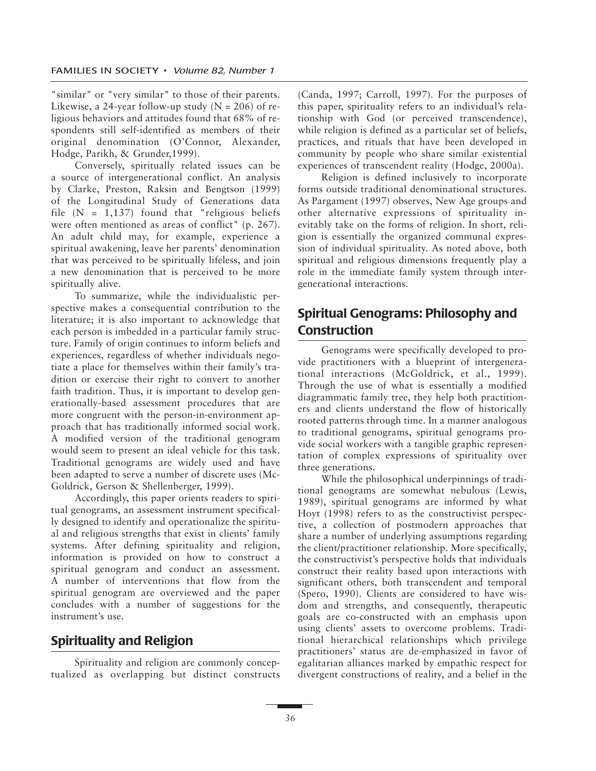"similar" or "very similar" to those of their parents. Likewise, a 24-year follow-up study  $(N = 206)$  of religious behaviors and attitudes found that 68% of respondents still self-identified as members of their original denomination (O'Connor, Alexander, Hodge, Parikh, & Grunder,1999).

Conversely, spiritually related issues can be a source of intergenerational conflict. An analysis by Clarke, Preston, Raksin and Bengtson (1999) of the Longitudinal Study of Generations data file  $(N = 1,137)$  found that "religious beliefs" were often mentioned as areas of conflict" (p. 267). An adult child may, for example, experience a spiritual awakening, leave her parents' denomination that was perceived to be spiritually lifeless, and join a new denomination that is perceived to be more spiritually alive.

To summarize, while the individualistic perspective makes a consequential contribution to the literature; it is also important to acknowledge that each person is imbedded in a particular family structure. Family of origin continues to inform beliefs and experiences, regardless of whether individuals negotiate a place for themselves within their family's tradition or exercise their right to convert to another faith tradition. Thus, it is important to develop generationally-based assessment procedures that are more congruent with the person-in-environment approach that has traditionally informed social work. A modified version of the traditional genogram would seem to present an ideal vehicle for this task. Traditional genograms are widely used and have been adapted to serve a number of discrete uses (Mc-Goldrick, Gerson & Shellenberger, 1999).

Accordingly, this paper orients readers to spiritual genograms, an assessment instrument specifically designed to identify and operationalize the spiritual and religious strengths that exist in clients' family systems. After defining spirituality and religion, information is provided on how to construct a spiritual genogram and conduct an assessment. A number of interventions that flow from the spiritual genogram are overviewed and the paper concludes with a number of suggestions for the instrument's use.

## Spirituality and Religion

Spirituality and religion are commonly conceptualized as overlapping but distinct constructs (Canda, 1997; Carroll, 1997). For the purposes of this paper, spirituality refers to an individual's relationship with God (or perceived transcendence), while religion is defined as a particular set of beliefs, practices, and rituals that have been developed in community by people who share similar existential experiences of transcendent reality (Hodge, 2000a).

Religion is defined inclusively to incorporate forms outside traditional denominational structures. As Pargament (1997) observes, New Age groups and other alternative expressions of spirituality inevitably take on the forms of religion. In short, religion is essentially the organized communal expression of individual spirituality. As noted above, both spiritual and religious dimensions frequently play a role in the immediate family system through intergenerational interactions.

# Spiritual Genograms: Philosophy and Construction

Genograms were specifically developed to provide practitioners with a blueprint of intergenerational interactions (McGoldrick, et al., 1999). Through the use of what is essentially a modified diagrammatic family tree, they help both practitioners and clients understand the flow of historically rooted patterns through time. In a manner analogous to traditional genograms, spiritual genograms provide social workers with a tangible graphic representation of complex expressions of spirituality over three generations.

While the philosophical underpinnings of traditional genograms are somewhat nebulous (Lewis, 1989), spiritual genograms are informed by what Hoyt (1998) refers to as the constructivist perspective, a collection of postmodern approaches that share a number of underlying assumptions regarding the client/practitioner relationship. More specifically, the constructivist's perspective holds that individuals construct their reality based upon interactions with significant others, both transcendent and temporal (Spero, 1990). Clients are considered to have wisdom and strengths, and consequently, therapeutic goals are co-constructed with an emphasis upon using clients' assets to overcome problems. Traditional hierarchical relationships which privilege practitioners' status are de-emphasized in favor of egalitarian alliances marked by empathic respect for divergent constructions of reality, and a belief in the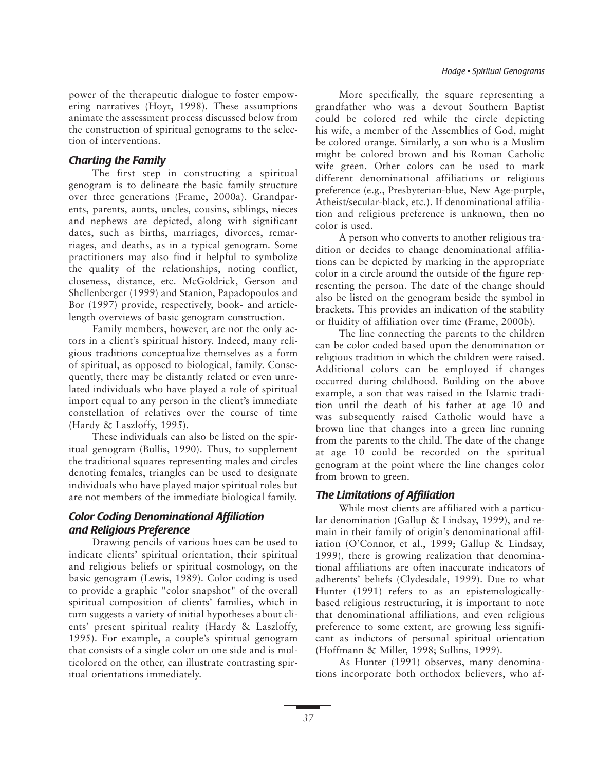power of the therapeutic dialogue to foster empowering narratives (Hoyt, 1998). These assumptions animate the assessment process discussed below from the construction of spiritual genograms to the selection of interventions.

## *Charting the Family*

The first step in constructing a spiritual genogram is to delineate the basic family structure over three generations (Frame, 2000a). Grandparents, parents, aunts, uncles, cousins, siblings, nieces and nephews are depicted, along with significant dates, such as births, marriages, divorces, remarriages, and deaths, as in a typical genogram. Some practitioners may also find it helpful to symbolize the quality of the relationships, noting conflict, closeness, distance, etc. McGoldrick, Gerson and Shellenberger (1999) and Stanion, Papadopoulos and Bor (1997) provide, respectively, book- and articlelength overviews of basic genogram construction.

Family members, however, are not the only actors in a client's spiritual history. Indeed, many religious traditions conceptualize themselves as a form of spiritual, as opposed to biological, family. Consequently, there may be distantly related or even unrelated individuals who have played a role of spiritual import equal to any person in the client's immediate constellation of relatives over the course of time (Hardy & Laszloffy, 1995).

These individuals can also be listed on the spiritual genogram (Bullis, 1990). Thus, to supplement the traditional squares representing males and circles denoting females, triangles can be used to designate individuals who have played major spiritual roles but are not members of the immediate biological family.

## *Color Coding Denominational Affiliation and Religious Preference*

Drawing pencils of various hues can be used to indicate clients' spiritual orientation, their spiritual and religious beliefs or spiritual cosmology, on the basic genogram (Lewis, 1989). Color coding is used to provide a graphic "color snapshot" of the overall spiritual composition of clients' families, which in turn suggests a variety of initial hypotheses about clients' present spiritual reality (Hardy & Laszloffy, 1995). For example, a couple's spiritual genogram that consists of a single color on one side and is multicolored on the other, can illustrate contrasting spiritual orientations immediately.

More specifically, the square representing a grandfather who was a devout Southern Baptist could be colored red while the circle depicting his wife, a member of the Assemblies of God, might be colored orange. Similarly, a son who is a Muslim might be colored brown and his Roman Catholic wife green. Other colors can be used to mark different denominational affiliations or religious preference (e.g., Presbyterian-blue, New Age-purple, Atheist/secular-black, etc.). If denominational affiliation and religious preference is unknown, then no color is used.

A person who converts to another religious tradition or decides to change denominational affiliations can be depicted by marking in the appropriate color in a circle around the outside of the figure representing the person. The date of the change should also be listed on the genogram beside the symbol in brackets. This provides an indication of the stability or fluidity of affiliation over time (Frame, 2000b).

The line connecting the parents to the children can be color coded based upon the denomination or religious tradition in which the children were raised. Additional colors can be employed if changes occurred during childhood. Building on the above example, a son that was raised in the Islamic tradition until the death of his father at age 10 and was subsequently raised Catholic would have a brown line that changes into a green line running from the parents to the child. The date of the change at age 10 could be recorded on the spiritual genogram at the point where the line changes color from brown to green.

## *The Limitations of Affiliation*

While most clients are affiliated with a particular denomination (Gallup & Lindsay, 1999), and remain in their family of origin's denominational affiliation (O'Connor, et al., 1999; Gallup & Lindsay, 1999), there is growing realization that denominational affiliations are often inaccurate indicators of adherents' beliefs (Clydesdale, 1999). Due to what Hunter (1991) refers to as an epistemologicallybased religious restructuring, it is important to note that denominational affiliations, and even religious preference to some extent, are growing less significant as indictors of personal spiritual orientation (Hoffmann & Miller, 1998; Sullins, 1999).

As Hunter (1991) observes, many denominations incorporate both orthodox believers, who af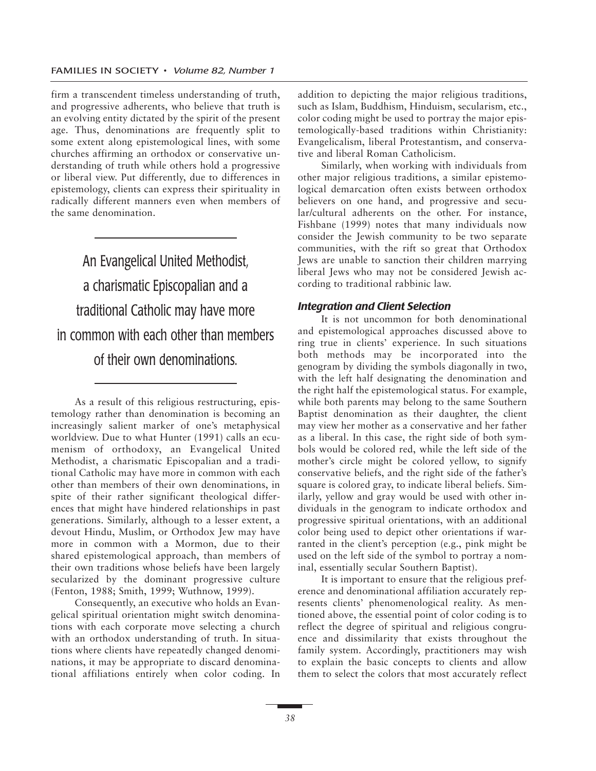firm a transcendent timeless understanding of truth, and progressive adherents, who believe that truth is an evolving entity dictated by the spirit of the present age. Thus, denominations are frequently split to some extent along epistemological lines, with some churches affirming an orthodox or conservative understanding of truth while others hold a progressive or liberal view. Put differently, due to differences in epistemology, clients can express their spirituality in radically different manners even when members of the same denomination.

An Evangelical United Methodist, a charismatic Episcopalian and a traditional Catholic may have more in common with each other than members of their own denominations.

As a result of this religious restructuring, epistemology rather than denomination is becoming an increasingly salient marker of one's metaphysical worldview. Due to what Hunter (1991) calls an ecumenism of orthodoxy, an Evangelical United Methodist, a charismatic Episcopalian and a traditional Catholic may have more in common with each other than members of their own denominations, in spite of their rather significant theological differences that might have hindered relationships in past generations. Similarly, although to a lesser extent, a devout Hindu, Muslim, or Orthodox Jew may have more in common with a Mormon, due to their shared epistemological approach, than members of their own traditions whose beliefs have been largely secularized by the dominant progressive culture (Fenton, 1988; Smith, 1999; Wuthnow, 1999).

Consequently, an executive who holds an Evangelical spiritual orientation might switch denominations with each corporate move selecting a church with an orthodox understanding of truth. In situations where clients have repeatedly changed denominations, it may be appropriate to discard denominational affiliations entirely when color coding. In addition to depicting the major religious traditions, such as Islam, Buddhism, Hinduism, secularism, etc., color coding might be used to portray the major epistemologically-based traditions within Christianity: Evangelicalism, liberal Protestantism, and conservative and liberal Roman Catholicism.

Similarly, when working with individuals from other major religious traditions, a similar epistemological demarcation often exists between orthodox believers on one hand, and progressive and secular/cultural adherents on the other. For instance, Fishbane (1999) notes that many individuals now consider the Jewish community to be two separate communities, with the rift so great that Orthodox Jews are unable to sanction their children marrying liberal Jews who may not be considered Jewish according to traditional rabbinic law.

#### *Integration and Client Selection*

It is not uncommon for both denominational and epistemological approaches discussed above to ring true in clients' experience. In such situations both methods may be incorporated into the genogram by dividing the symbols diagonally in two, with the left half designating the denomination and the right half the epistemological status. For example, while both parents may belong to the same Southern Baptist denomination as their daughter, the client may view her mother as a conservative and her father as a liberal. In this case, the right side of both symbols would be colored red, while the left side of the mother's circle might be colored yellow, to signify conservative beliefs, and the right side of the father's square is colored gray, to indicate liberal beliefs. Similarly, yellow and gray would be used with other individuals in the genogram to indicate orthodox and progressive spiritual orientations, with an additional color being used to depict other orientations if warranted in the client's perception (e.g., pink might be used on the left side of the symbol to portray a nominal, essentially secular Southern Baptist).

It is important to ensure that the religious preference and denominational affiliation accurately represents clients' phenomenological reality. As mentioned above, the essential point of color coding is to reflect the degree of spiritual and religious congruence and dissimilarity that exists throughout the family system. Accordingly, practitioners may wish to explain the basic concepts to clients and allow them to select the colors that most accurately reflect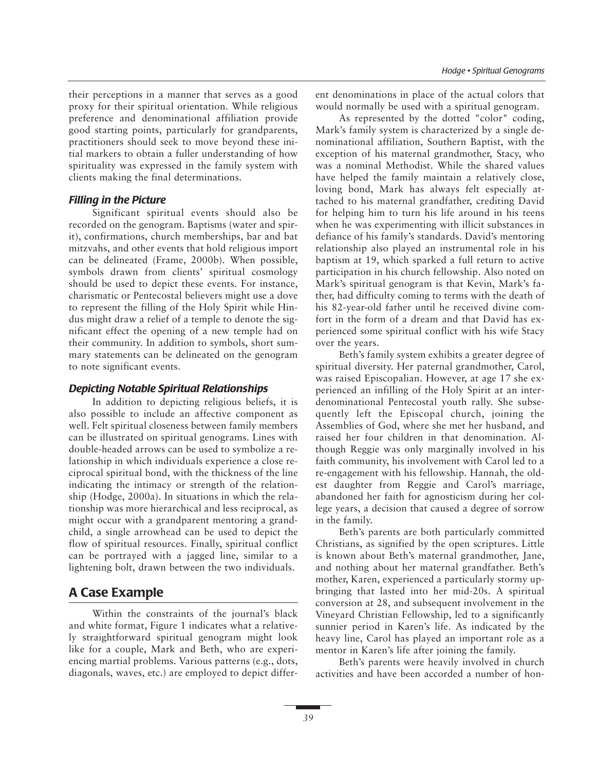their perceptions in a manner that serves as a good proxy for their spiritual orientation. While religious preference and denominational affiliation provide good starting points, particularly for grandparents, practitioners should seek to move beyond these initial markers to obtain a fuller understanding of how spirituality was expressed in the family system with clients making the final determinations.

#### *Filling in the Picture*

Significant spiritual events should also be recorded on the genogram. Baptisms (water and spirit), confirmations, church memberships, bar and bat mitzvahs, and other events that hold religious import can be delineated (Frame, 2000b). When possible, symbols drawn from clients' spiritual cosmology should be used to depict these events. For instance, charismatic or Pentecostal believers might use a dove to represent the filling of the Holy Spirit while Hindus might draw a relief of a temple to denote the significant effect the opening of a new temple had on their community. In addition to symbols, short summary statements can be delineated on the genogram to note significant events.

#### *Depicting Notable Spiritual Relationships*

In addition to depicting religious beliefs, it is also possible to include an affective component as well. Felt spiritual closeness between family members can be illustrated on spiritual genograms. Lines with double-headed arrows can be used to symbolize a relationship in which individuals experience a close reciprocal spiritual bond, with the thickness of the line indicating the intimacy or strength of the relationship (Hodge, 2000a). In situations in which the relationship was more hierarchical and less reciprocal, as might occur with a grandparent mentoring a grandchild, a single arrowhead can be used to depict the flow of spiritual resources. Finally, spiritual conflict can be portrayed with a jagged line, similar to a lightening bolt, drawn between the two individuals.

## A Case Example

Within the constraints of the journal's black and white format, Figure 1 indicates what a relatively straightforward spiritual genogram might look like for a couple, Mark and Beth, who are experiencing martial problems. Various patterns (e.g., dots, diagonals, waves, etc.) are employed to depict different denominations in place of the actual colors that would normally be used with a spiritual genogram.

As represented by the dotted "color" coding, Mark's family system is characterized by a single denominational affiliation, Southern Baptist, with the exception of his maternal grandmother, Stacy, who was a nominal Methodist. While the shared values have helped the family maintain a relatively close, loving bond, Mark has always felt especially attached to his maternal grandfather, crediting David for helping him to turn his life around in his teens when he was experimenting with illicit substances in defiance of his family's standards. David's mentoring relationship also played an instrumental role in his baptism at 19, which sparked a full return to active participation in his church fellowship. Also noted on Mark's spiritual genogram is that Kevin, Mark's father, had difficulty coming to terms with the death of his 82-year-old father until he received divine comfort in the form of a dream and that David has experienced some spiritual conflict with his wife Stacy over the years.

Beth's family system exhibits a greater degree of spiritual diversity. Her paternal grandmother, Carol, was raised Episcopalian. However, at age 17 she experienced an infilling of the Holy Spirit at an interdenominational Pentecostal youth rally. She subsequently left the Episcopal church, joining the Assemblies of God, where she met her husband, and raised her four children in that denomination. Although Reggie was only marginally involved in his faith community, his involvement with Carol led to a re-engagement with his fellowship. Hannah, the oldest daughter from Reggie and Carol's marriage, abandoned her faith for agnosticism during her college years, a decision that caused a degree of sorrow in the family.

Beth's parents are both particularly committed Christians, as signified by the open scriptures. Little is known about Beth's maternal grandmother, Jane, and nothing about her maternal grandfather. Beth's mother, Karen, experienced a particularly stormy upbringing that lasted into her mid-20s. A spiritual conversion at 28, and subsequent involvement in the Vineyard Christian Fellowship, led to a significantly sunnier period in Karen's life. As indicated by the heavy line, Carol has played an important role as a mentor in Karen's life after joining the family.

Beth's parents were heavily involved in church activities and have been accorded a number of hon-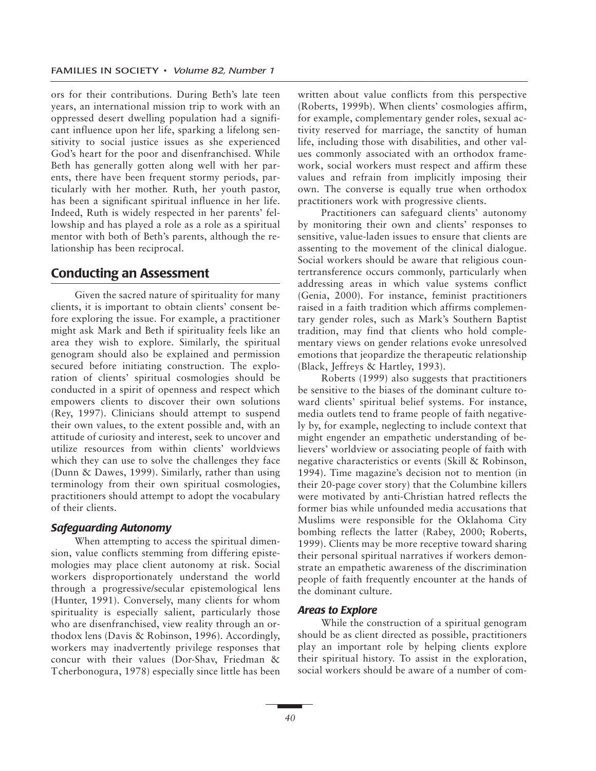ors for their contributions. During Beth's late teen years, an international mission trip to work with an oppressed desert dwelling population had a significant influence upon her life, sparking a lifelong sensitivity to social justice issues as she experienced God's heart for the poor and disenfranchised. While Beth has generally gotten along well with her parents, there have been frequent stormy periods, particularly with her mother. Ruth, her youth pastor, has been a significant spiritual influence in her life. Indeed, Ruth is widely respected in her parents' fellowship and has played a role as a role as a spiritual mentor with both of Beth's parents, although the relationship has been reciprocal.

### Conducting an Assessment

Given the sacred nature of spirituality for many clients, it is important to obtain clients' consent before exploring the issue. For example, a practitioner might ask Mark and Beth if spirituality feels like an area they wish to explore. Similarly, the spiritual genogram should also be explained and permission secured before initiating construction. The exploration of clients' spiritual cosmologies should be conducted in a spirit of openness and respect which empowers clients to discover their own solutions (Rey, 1997). Clinicians should attempt to suspend their own values, to the extent possible and, with an attitude of curiosity and interest, seek to uncover and utilize resources from within clients' worldviews which they can use to solve the challenges they face (Dunn & Dawes, 1999). Similarly, rather than using terminology from their own spiritual cosmologies, practitioners should attempt to adopt the vocabulary of their clients.

#### *Safeguarding Autonomy*

When attempting to access the spiritual dimension, value conflicts stemming from differing epistemologies may place client autonomy at risk. Social workers disproportionately understand the world through a progressive/secular epistemological lens (Hunter, 1991). Conversely, many clients for whom spirituality is especially salient, particularly those who are disenfranchised, view reality through an orthodox lens (Davis & Robinson, 1996). Accordingly, workers may inadvertently privilege responses that concur with their values (Dor-Shav, Friedman & Tcherbonogura, 1978) especially since little has been written about value conflicts from this perspective (Roberts, 1999b). When clients' cosmologies affirm, for example, complementary gender roles, sexual activity reserved for marriage, the sanctity of human life, including those with disabilities, and other values commonly associated with an orthodox framework, social workers must respect and affirm these values and refrain from implicitly imposing their own. The converse is equally true when orthodox practitioners work with progressive clients.

Practitioners can safeguard clients' autonomy by monitoring their own and clients' responses to sensitive, value-laden issues to ensure that clients are assenting to the movement of the clinical dialogue. Social workers should be aware that religious countertransference occurs commonly, particularly when addressing areas in which value systems conflict (Genia, 2000). For instance, feminist practitioners raised in a faith tradition which affirms complementary gender roles, such as Mark's Southern Baptist tradition, may find that clients who hold complementary views on gender relations evoke unresolved emotions that jeopardize the therapeutic relationship (Black, Jeffreys & Hartley, 1993).

Roberts (1999) also suggests that practitioners be sensitive to the biases of the dominant culture toward clients' spiritual belief systems. For instance, media outlets tend to frame people of faith negatively by, for example, neglecting to include context that might engender an empathetic understanding of believers' worldview or associating people of faith with negative characteristics or events (Skill & Robinson, 1994). Time magazine's decision not to mention (in their 20-page cover story) that the Columbine killers were motivated by anti-Christian hatred reflects the former bias while unfounded media accusations that Muslims were responsible for the Oklahoma City bombing reflects the latter (Rabey, 2000; Roberts, 1999). Clients may be more receptive toward sharing their personal spiritual narratives if workers demonstrate an empathetic awareness of the discrimination people of faith frequently encounter at the hands of the dominant culture.

#### *Areas to Explore*

While the construction of a spiritual genogram should be as client directed as possible, practitioners play an important role by helping clients explore their spiritual history. To assist in the exploration, social workers should be aware of a number of com-

*40*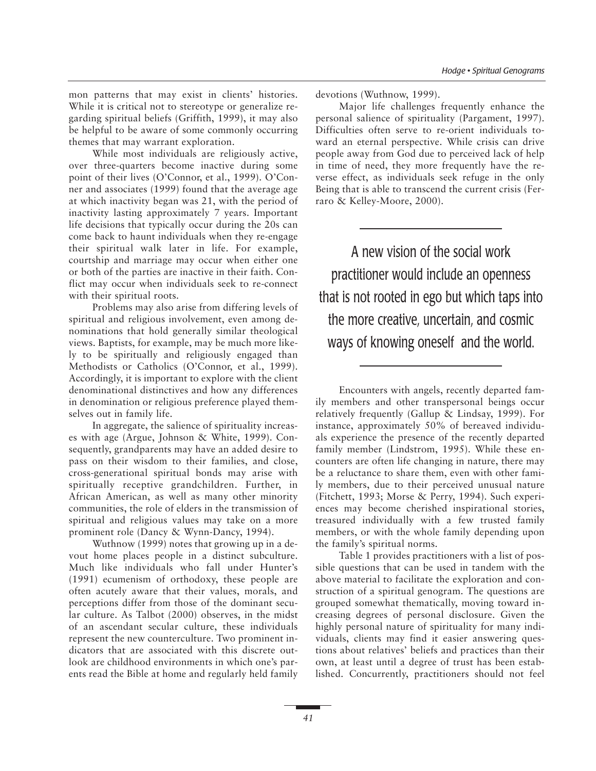mon patterns that may exist in clients' histories. While it is critical not to stereotype or generalize regarding spiritual beliefs (Griffith, 1999), it may also be helpful to be aware of some commonly occurring themes that may warrant exploration.

While most individuals are religiously active, over three-quarters become inactive during some point of their lives (O'Connor, et al., 1999). O'Conner and associates (1999) found that the average age at which inactivity began was 21, with the period of inactivity lasting approximately 7 years. Important life decisions that typically occur during the 20s can come back to haunt individuals when they re-engage their spiritual walk later in life. For example, courtship and marriage may occur when either one or both of the parties are inactive in their faith. Conflict may occur when individuals seek to re-connect with their spiritual roots.

Problems may also arise from differing levels of spiritual and religious involvement, even among denominations that hold generally similar theological views. Baptists, for example, may be much more likely to be spiritually and religiously engaged than Methodists or Catholics (O'Connor, et al., 1999). Accordingly, it is important to explore with the client denominational distinctives and how any differences in denomination or religious preference played themselves out in family life.

In aggregate, the salience of spirituality increases with age (Argue, Johnson & White, 1999). Consequently, grandparents may have an added desire to pass on their wisdom to their families, and close, cross-generational spiritual bonds may arise with spiritually receptive grandchildren. Further, in African American, as well as many other minority communities, the role of elders in the transmission of spiritual and religious values may take on a more prominent role (Dancy & Wynn-Dancy, 1994).

Wuthnow (1999) notes that growing up in a devout home places people in a distinct subculture. Much like individuals who fall under Hunter's (1991) ecumenism of orthodoxy, these people are often acutely aware that their values, morals, and perceptions differ from those of the dominant secular culture. As Talbot (2000) observes, in the midst of an ascendant secular culture, these individuals represent the new counterculture. Two prominent indicators that are associated with this discrete outlook are childhood environments in which one's parents read the Bible at home and regularly held family devotions (Wuthnow, 1999).

Major life challenges frequently enhance the personal salience of spirituality (Pargament, 1997). Difficulties often serve to re-orient individuals toward an eternal perspective. While crisis can drive people away from God due to perceived lack of help in time of need, they more frequently have the reverse effect, as individuals seek refuge in the only Being that is able to transcend the current crisis (Ferraro & Kelley-Moore, 2000).

A new vision of the social work practitioner would include an openness that is not rooted in ego but which taps into the more creative, uncertain, and cosmic ways of knowing oneself and the world.

Encounters with angels, recently departed family members and other transpersonal beings occur relatively frequently (Gallup & Lindsay, 1999). For instance, approximately 50% of bereaved individuals experience the presence of the recently departed family member (Lindstrom, 1995). While these encounters are often life changing in nature, there may be a reluctance to share them, even with other family members, due to their perceived unusual nature (Fitchett, 1993; Morse & Perry, 1994). Such experiences may become cherished inspirational stories, treasured individually with a few trusted family members, or with the whole family depending upon the family's spiritual norms.

Table 1 provides practitioners with a list of possible questions that can be used in tandem with the above material to facilitate the exploration and construction of a spiritual genogram. The questions are grouped somewhat thematically, moving toward increasing degrees of personal disclosure. Given the highly personal nature of spirituality for many individuals, clients may find it easier answering questions about relatives' beliefs and practices than their own, at least until a degree of trust has been established. Concurrently, practitioners should not feel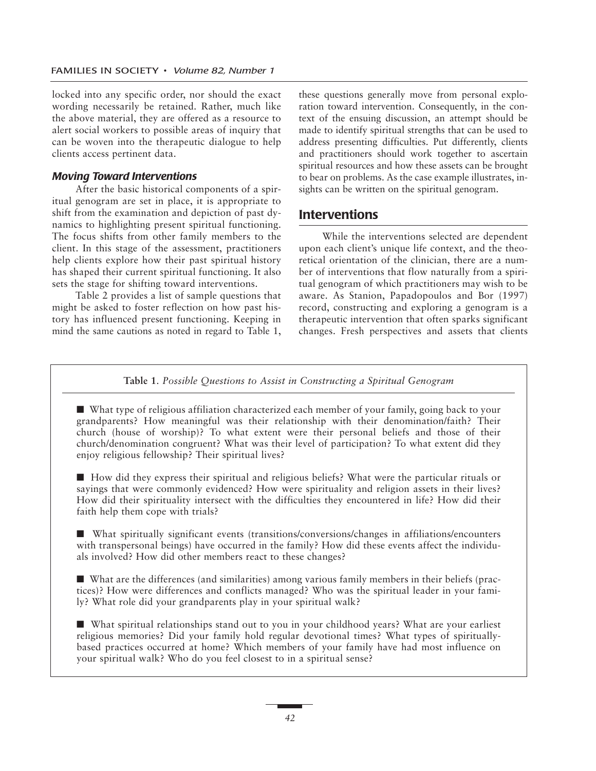locked into any specific order, nor should the exact wording necessarily be retained. Rather, much like the above material, they are offered as a resource to alert social workers to possible areas of inquiry that can be woven into the therapeutic dialogue to help clients access pertinent data.

#### *Moving Toward Interventions*

After the basic historical components of a spiritual genogram are set in place, it is appropriate to shift from the examination and depiction of past dynamics to highlighting present spiritual functioning. The focus shifts from other family members to the client. In this stage of the assessment, practitioners help clients explore how their past spiritual history has shaped their current spiritual functioning. It also sets the stage for shifting toward interventions.

Table 2 provides a list of sample questions that might be asked to foster reflection on how past history has influenced present functioning. Keeping in mind the same cautions as noted in regard to Table 1, these questions generally move from personal exploration toward intervention. Consequently, in the context of the ensuing discussion, an attempt should be made to identify spiritual strengths that can be used to address presenting difficulties. Put differently, clients and practitioners should work together to ascertain spiritual resources and how these assets can be brought to bear on problems. As the case example illustrates, insights can be written on the spiritual genogram.

## Interventions

While the interventions selected are dependent upon each client's unique life context, and the theoretical orientation of the clinician, there are a number of interventions that flow naturally from a spiritual genogram of which practitioners may wish to be aware. As Stanion, Papadopoulos and Bor (1997) record, constructing and exploring a genogram is a therapeutic intervention that often sparks significant changes. Fresh perspectives and assets that clients

#### **Table 1**. *Possible Questions to Assist in Constructing a Spiritual Genogram*

■ What type of religious affiliation characterized each member of your family, going back to your grandparents? How meaningful was their relationship with their denomination/faith? Their church (house of worship)? To what extent were their personal beliefs and those of their church/denomination congruent? What was their level of participation? To what extent did they enjoy religious fellowship? Their spiritual lives?

■ How did they express their spiritual and religious beliefs? What were the particular rituals or sayings that were commonly evidenced? How were spirituality and religion assets in their lives? How did their spirituality intersect with the difficulties they encountered in life? How did their faith help them cope with trials?

■ What spiritually significant events (transitions/conversions/changes in affiliations/encounters with transpersonal beings) have occurred in the family? How did these events affect the individuals involved? How did other members react to these changes?

■ What are the differences (and similarities) among various family members in their beliefs (practices)? How were differences and conflicts managed? Who was the spiritual leader in your family? What role did your grandparents play in your spiritual walk?

■ What spiritual relationships stand out to you in your childhood years? What are your earliest religious memories? Did your family hold regular devotional times? What types of spirituallybased practices occurred at home? Which members of your family have had most influence on your spiritual walk? Who do you feel closest to in a spiritual sense?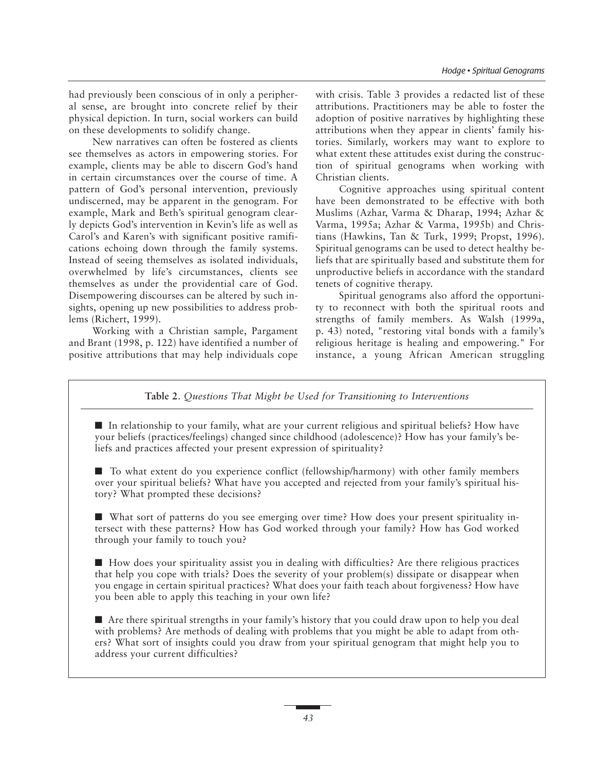had previously been conscious of in only a peripheral sense, are brought into concrete relief by their physical depiction. In turn, social workers can build on these developments to solidify change.

New narratives can often be fostered as clients see themselves as actors in empowering stories. For example, clients may be able to discern God's hand in certain circumstances over the course of time. A pattern of God's personal intervention, previously undiscerned, may be apparent in the genogram. For example, Mark and Beth's spiritual genogram clearly depicts God's intervention in Kevin's life as well as Carol's and Karen's with significant positive ramifications echoing down through the family systems. Instead of seeing themselves as isolated individuals, overwhelmed by life's circumstances, clients see themselves as under the providential care of God. Disempowering discourses can be altered by such insights, opening up new possibilities to address problems (Richert, 1999).

Working with a Christian sample, Pargament and Brant (1998, p. 122) have identified a number of positive attributions that may help individuals cope

with crisis. Table 3 provides a redacted list of these attributions. Practitioners may be able to foster the adoption of positive narratives by highlighting these attributions when they appear in clients' family histories. Similarly, workers may want to explore to what extent these attitudes exist during the construction of spiritual genograms when working with Christian clients.

Cognitive approaches using spiritual content have been demonstrated to be effective with both Muslims (Azhar, Varma & Dharap, 1994; Azhar & Varma, 1995a; Azhar & Varma, 1995b) and Christians (Hawkins, Tan & Turk, 1999; Propst, 1996). Spiritual genograms can be used to detect healthy beliefs that are spiritually based and substitute them for unproductive beliefs in accordance with the standard tenets of cognitive therapy.

Spiritual genograms also afford the opportunity to reconnect with both the spiritual roots and strengths of family members. As Walsh (1999a, p. 43) noted, "restoring vital bonds with a family's religious heritage is healing and empowering." For instance, a young African American struggling

#### **Table 2**. *Questions That Might be Used for Transitioning to Interventions*

■ In relationship to your family, what are your current religious and spiritual beliefs? How have your beliefs (practices/feelings) changed since childhood (adolescence)? How has your family's beliefs and practices affected your present expression of spirituality?

■ To what extent do you experience conflict (fellowship/harmony) with other family members over your spiritual beliefs? What have you accepted and rejected from your family's spiritual history? What prompted these decisions?

■ What sort of patterns do you see emerging over time? How does your present spirituality intersect with these patterns? How has God worked through your family? How has God worked through your family to touch you?

■ How does your spirituality assist you in dealing with difficulties? Are there religious practices that help you cope with trials? Does the severity of your problem(s) dissipate or disappear when you engage in certain spiritual practices? What does your faith teach about forgiveness? How have you been able to apply this teaching in your own life?

■ Are there spiritual strengths in your family's history that you could draw upon to help you deal with problems? Are methods of dealing with problems that you might be able to adapt from others? What sort of insights could you draw from your spiritual genogram that might help you to address your current difficulties?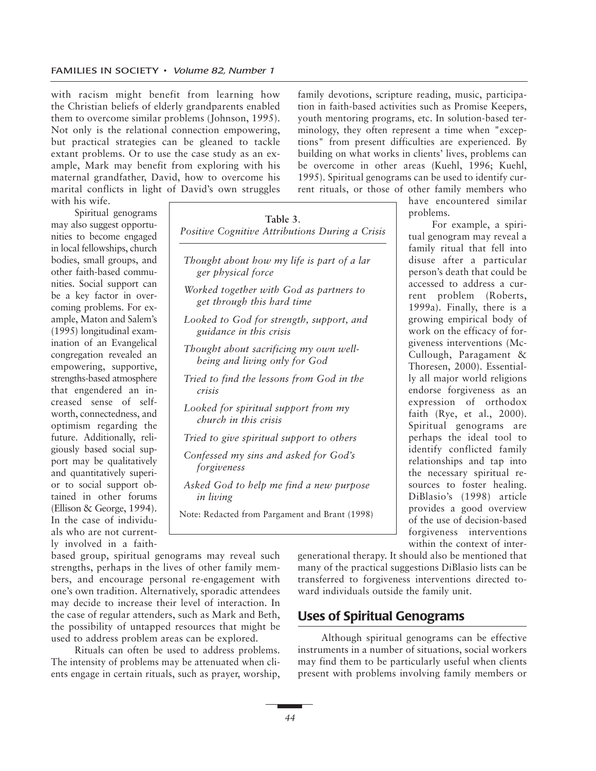with racism might benefit from learning how the Christian beliefs of elderly grandparents enabled them to overcome similar problems (Johnson, 1995). Not only is the relational connection empowering, but practical strategies can be gleaned to tackle extant problems. Or to use the case study as an example, Mark may benefit from exploring with his maternal grandfather, David, how to overcome his marital conflicts in light of David's own struggles with his wife.

Spiritual genograms may also suggest opportunities to become engaged in local fellowships, church bodies, small groups, and other faith-based communities. Social support can be a key factor in overcoming problems. For example, Maton and Salem's (1995) longitudinal examination of an Evangelical congregation revealed an empowering, supportive, strengths-based atmosphere that engendered an increased sense of selfworth, connectedness, and optimism regarding the future. Additionally, religiously based social support may be qualitatively and quantitatively superior to social support obtained in other forums (Ellison & George, 1994). In the case of individuals who are not currently involved in a faith-

| Table 3.<br>Positive Cognitive Attributions During a Crisis             |
|-------------------------------------------------------------------------|
| Thought about how my life is part of a lar<br>ger physical force        |
| Worked together with God as partners to<br>get through this hard time   |
| Looked to God for strength, support, and<br>guidance in this crisis     |
| Thought about sacrificing my own well-<br>being and living only for God |
| Tried to find the lessons from God in the<br>crisis                     |
| Looked for spiritual support from my<br>church in this crisis           |
| Tried to give spiritual support to others                               |
| Confessed my sins and asked for God's<br>forgiveness                    |
| Asked God to help me find a new purpose<br>in living                    |
| Note: Redacted from Pargament and Brant (1998)                          |

based group, spiritual genograms may reveal such strengths, perhaps in the lives of other family members, and encourage personal re-engagement with one's own tradition. Alternatively, sporadic attendees may decide to increase their level of interaction. In the case of regular attenders, such as Mark and Beth, the possibility of untapped resources that might be used to address problem areas can be explored.

Rituals can often be used to address problems. The intensity of problems may be attenuated when clients engage in certain rituals, such as prayer, worship, family devotions, scripture reading, music, participation in faith-based activities such as Promise Keepers, youth mentoring programs, etc. In solution-based terminology, they often represent a time when "exceptions" from present difficulties are experienced. By building on what works in clients' lives, problems can be overcome in other areas (Kuehl, 1996; Kuehl, 1995). Spiritual genograms can be used to identify current rituals, or those of other family members who

> have encountered similar problems.

For example, a spiritual genogram may reveal a family ritual that fell into disuse after a particular person's death that could be accessed to address a current problem (Roberts, 1999a). Finally, there is a growing empirical body of work on the efficacy of forgiveness interventions (Mc-Cullough, Paragament & Thoresen, 2000). Essentially all major world religions endorse forgiveness as an expression of orthodox faith (Rye, et al., 2000). Spiritual genograms are perhaps the ideal tool to identify conflicted family relationships and tap into the necessary spiritual resources to foster healing. DiBlasio's (1998) article provides a good overview of the use of decision-based forgiveness interventions within the context of inter-

generational therapy. It should also be mentioned that many of the practical suggestions DiBlasio lists can be transferred to forgiveness interventions directed toward individuals outside the family unit.

#### Uses of Spiritual Genograms

Although spiritual genograms can be effective instruments in a number of situations, social workers may find them to be particularly useful when clients present with problems involving family members or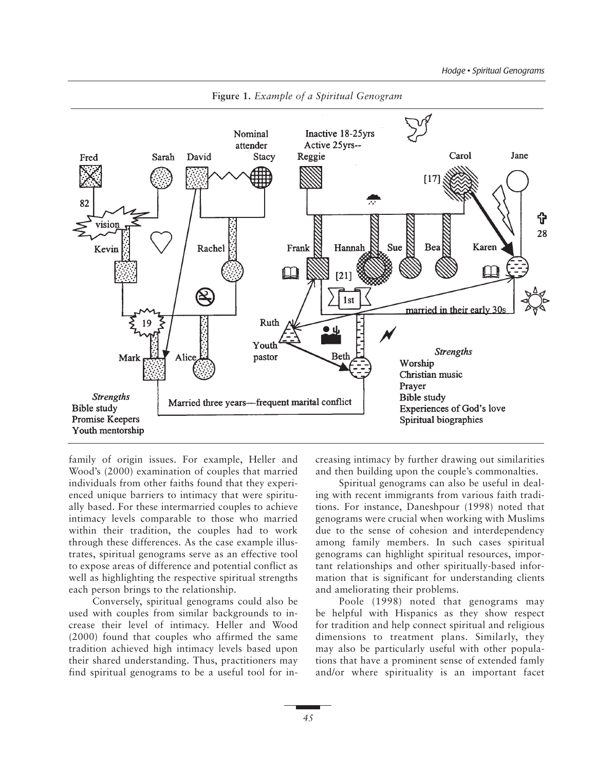

**Figure 1.** *Example of a Spiritual Genogram*

family of origin issues. For example, Heller and Wood's (2000) examination of couples that married individuals from other faiths found that they experienced unique barriers to intimacy that were spiritually based. For these intermarried couples to achieve intimacy levels comparable to those who married within their tradition, the couples had to work through these differences. As the case example illustrates, spiritual genograms serve as an effective tool to expose areas of difference and potential conflict as well as highlighting the respective spiritual strengths each person brings to the relationship.

Conversely, spiritual genograms could also be used with couples from similar backgrounds to increase their level of intimacy. Heller and Wood (2000) found that couples who affirmed the same tradition achieved high intimacy levels based upon their shared understanding. Thus, practitioners may find spiritual genograms to be a useful tool for increasing intimacy by further drawing out similarities and then building upon the couple's commonalties.

Spiritual genograms can also be useful in dealing with recent immigrants from various faith traditions. For instance, Daneshpour (1998) noted that genograms were crucial when working with Muslims due to the sense of cohesion and interdependency among family members. In such cases spiritual genograms can highlight spiritual resources, important relationships and other spiritually-based information that is significant for understanding clients and ameliorating their problems.

Poole (1998) noted that genograms may be helpful with Hispanics as they show respect for tradition and help connect spiritual and religious dimensions to treatment plans. Similarly, they may also be particularly useful with other populations that have a prominent sense of extended famly and/or where spirituality is an important facet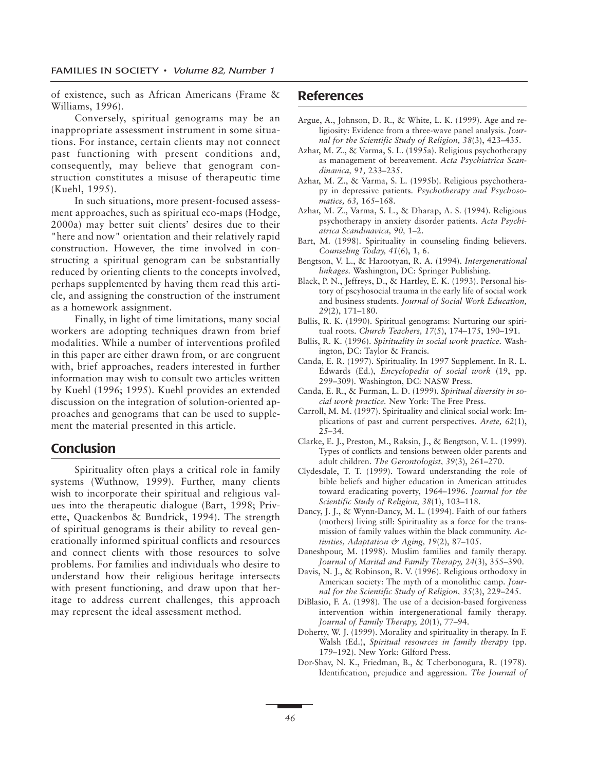of existence, such as African Americans (Frame & Williams, 1996).

Conversely, spiritual genograms may be an inappropriate assessment instrument in some situations. For instance, certain clients may not connect past functioning with present conditions and, consequently, may believe that genogram construction constitutes a misuse of therapeutic time (Kuehl, 1995).

In such situations, more present-focused assessment approaches, such as spiritual eco-maps (Hodge, 2000a) may better suit clients' desires due to their "here and now" orientation and their relatively rapid construction. However, the time involved in constructing a spiritual genogram can be substantially reduced by orienting clients to the concepts involved, perhaps supplemented by having them read this article, and assigning the construction of the instrument as a homework assignment.

Finally, in light of time limitations, many social workers are adopting techniques drawn from brief modalities. While a number of interventions profiled in this paper are either drawn from, or are congruent with, brief approaches, readers interested in further information may wish to consult two articles written by Kuehl (1996; 1995). Kuehl provides an extended discussion on the integration of solution-oriented approaches and genograms that can be used to supplement the material presented in this article.

#### Conclusion

Spirituality often plays a critical role in family systems (Wuthnow, 1999). Further, many clients wish to incorporate their spiritual and religious values into the therapeutic dialogue (Bart, 1998; Privette, Quackenbos & Bundrick, 1994). The strength of spiritual genograms is their ability to reveal generationally informed spiritual conflicts and resources and connect clients with those resources to solve problems. For families and individuals who desire to understand how their religious heritage intersects with present functioning, and draw upon that heritage to address current challenges, this approach may represent the ideal assessment method.

#### **References**

- Argue, A., Johnson, D. R., & White, L. K. (1999). Age and religiosity: Evidence from a three-wave panel analysis. *Journal for the Scientific Study of Religion, 38*(3), 423–435.
- Azhar, M. Z., & Varma, S. L. (1995a). Religious psychotherapy as management of bereavement. *Acta Psychiatrica Scandinavica, 91,* 233–235.
- Azhar, M. Z., & Varma, S. L. (1995b). Religious psychotherapy in depressive patients. *Psychotherapy and Psychosomatics, 63,* 165–168.
- Azhar, M. Z., Varma, S. L., & Dharap, A. S. (1994). Religious psychotherapy in anxiety disorder patients. *Acta Psychiatrica Scandinavica, 90,* 1–2.
- Bart, M. (1998). Spirituality in counseling finding believers. *Counseling Today, 41*(6), 1, 6.
- Bengtson, V. L., & Harootyan, R. A. (1994). *Intergenerational linkages.* Washington, DC: Springer Publishing.
- Black, P. N., Jeffreys, D., & Hartley, E. K. (1993). Personal history of pscyhosocial trauma in the early life of social work and business students. *Journal of Social Work Education, 29*(2), 171–180.
- Bullis, R. K. (1990). Spiritual genograms: Nurturing our spiritual roots. *Church Teachers, 17*(5), 174–175, 190–191.
- Bullis, R. K. (1996). *Spirituality in social work practice.* Washington, DC: Taylor & Francis.
- Canda, E. R. (1997). Spirituality. In 1997 Supplement. In R. L. Edwards (Ed.), *Encyclopedia of social work* (19, pp. 299–309). Washington, DC: NASW Press.
- Canda, E. R., & Furman, L. D. (1999). *Spiritual diversity in social work practice.* New York: The Free Press.
- Carroll, M. M. (1997). Spirituality and clinical social work: Implications of past and current perspectives. *Arete, 62*(1),  $25 - 34.$
- Clarke, E. J., Preston, M., Raksin, J., & Bengtson, V. L. (1999). Types of conflicts and tensions between older parents and adult children. *The Gerontologist, 39*(3), 261–270.
- Clydesdale, T. T. (1999). Toward understanding the role of bible beliefs and higher education in American attitudes toward eradicating poverty, 1964–1996. *Journal for the Scientific Study of Religion, 38*(1), 103–118.
- Dancy, J. J., & Wynn-Dancy, M. L. (1994). Faith of our fathers (mothers) living still: Spirituality as a force for the transmission of family values within the black community. *Activities, Adaptation & Aging, 19*(2), 87–105.
- Daneshpour, M. (1998). Muslim families and family therapy. *Journal of Marital and Family Therapy, 24*(3), 355–390.
- Davis, N. J., & Robinson, R. V. (1996). Religious orthodoxy in American society: The myth of a monolithic camp. *Journal for the Scientific Study of Religion, 35*(3), 229–245.
- DiBlasio, F. A. (1998). The use of a decision-based forgiveness intervention within intergenerational family therapy. *Journal of Family Therapy, 20*(1), 77–94.
- Doherty, W. J. (1999). Morality and spirituality in therapy. In F. Walsh (Ed.), *Spiritual resources in family therapy* (pp. 179–192). New York: Gilford Press.
- Dor-Shav, N. K., Friedman, B., & Tcherbonogura, R. (1978). Identification, prejudice and aggression. *The Journal of*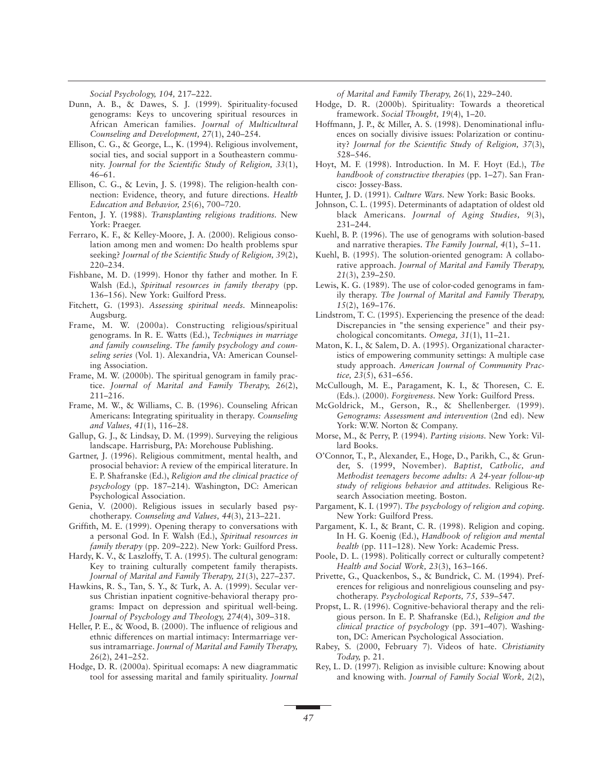*Social Psychology, 104,* 217–222.

- Dunn, A. B., & Dawes, S. J. (1999). Spirituality-focused genograms: Keys to uncovering spiritual resources in African American families. *Journal of Multicultural Counseling and Development, 27*(1), 240–254.
- Ellison, C. G., & George, L., K. (1994). Religious involvement, social ties, and social support in a Southeastern community. *Journal for the Scientific Study of Religion, 33*(1), 46–61.
- Ellison, C. G., & Levin, J. S. (1998). The religion-health connection: Evidence, theory, and future directions. *Health Education and Behavior, 25*(6), 700–720.
- Fenton, J. Y. (1988). *Transplanting religious traditions.* New York: Praeger.
- Ferraro, K. F., & Kelley-Moore, J. A. (2000). Religious consolation among men and women: Do health problems spur seeking? *Journal of the Scientific Study of Religion, 39*(2), 220–234.
- Fishbane, M. D. (1999). Honor thy father and mother. In F. Walsh (Ed.), *Spiritual resources in family therapy* (pp. 136–156). New York: Guilford Press.
- Fitchett, G. (1993). *Assessing spiritual needs.* Minneapolis: Augsburg.
- Frame, M. W. (2000a). Constructing religious/spiritual genograms. In R. E. Watts (Ed.), *Techniques in marriage and family counseling. The family psychology and counseling series* (Vol. 1). Alexandria, VA: American Counseling Association.
- Frame, M. W. (2000b). The spiritual genogram in family practice. *Journal of Marital and Family Therapy, 26*(2), 211–216.
- Frame, M. W., & Williams, C. B. (1996). Counseling African Americans: Integrating spirituality in therapy. *Counseling and Values, 41*(1), 116–28.
- Gallup, G. J., & Lindsay, D. M. (1999). Surveying the religious landscape. Harrisburg, PA: Morehouse Publishing.
- Gartner, J. (1996). Religious commitment, mental health, and prosocial behavior: A review of the empirical literature. In E. P. Shafranske (Ed.), *Religion and the clinical practice of psychology* (pp. 187–214). Washington, DC: American Psychological Association.
- Genia, V. (2000). Religious issues in secularly based psychotherapy. *Counseling and Values, 44*(3), 213–221.
- Griffith, M. E. (1999). Opening therapy to conversations with a personal God. In F. Walsh (Ed.), *Spiritual resources in family therapy* (pp. 209–222). New York: Guilford Press.
- Hardy, K. V., & Laszloffy, T. A. (1995). The cultural genogram: Key to training culturally competent family therapists. *Journal of Marital and Family Therapy, 21*(3), 227–237.
- Hawkins, R. S., Tan, S. Y., & Turk, A. A. (1999). Secular versus Christian inpatient cognitive-behavioral therapy programs: Impact on depression and spiritual well-being. *Journal of Psychology and Theology, 274*(4), 309–318.
- Heller, P. E., & Wood, B. (2000). The influence of religious and ethnic differences on martial intimacy: Intermarriage versus intramarriage. *Journal of Marital and Family Therapy, 26*(2), 241–252.
- Hodge, D. R. (2000a). Spiritual ecomaps: A new diagrammatic tool for assessing marital and family spirituality. *Journal*

*of Marital and Family Therapy, 26*(1), 229–240.

- Hodge, D. R. (2000b). Spirituality: Towards a theoretical framework. *Social Thought, 19*(4), 1–20.
- Hoffmann, J. P., & Miller, A. S. (1998). Denominational influences on socially divisive issues: Polarization or continuity? *Journal for the Scientific Study of Religion, 37*(3), 528–546.
- Hoyt, M. F. (1998). Introduction. In M. F. Hoyt (Ed.), *The handbook of constructive therapies* (pp. 1–27). San Francisco: Jossey-Bass.
- Hunter, J. D. (1991). *Culture Wars.* New York: Basic Books.
- Johnson, C. L. (1995). Determinants of adaptation of oldest old black Americans. *Journal of Aging Studies, 9*(3), 231–244.
- Kuehl, B. P. (1996). The use of genograms with solution-based and narrative therapies. *The Family Journal, 4*(1), 5–11.
- Kuehl, B. (1995). The solution-oriented genogram: A collaborative approach. *Journal of Marital and Family Therapy, 21*(3), 239–250.
- Lewis, K. G. (1989). The use of color-coded genograms in family therapy. *The Journal of Marital and Family Therapy, 15*(2), 169–176.
- Lindstrom, T. C. (1995). Experiencing the presence of the dead: Discrepancies in "the sensing experience" and their psychological concomitants. *Omega, 31*(1), 11–21.
- Maton, K. I., & Salem, D. A. (1995). Organizational characteristics of empowering community settings: A multiple case study approach. *American Journal of Community Practice, 23*(5), 631–656.
- McCullough, M. E., Paragament, K. I., & Thoresen, C. E. (Eds.). (2000). *Forgiveness.* New York: Guilford Press.
- McGoldrick, M., Gerson, R., & Shellenberger. (1999). *Genograms: Assessment and intervention* (2nd ed). New York: W.W. Norton & Company.
- Morse, M., & Perry, P. (1994). *Parting visions.* New York: Villard Books.
- O'Connor, T., P., Alexander, E., Hoge, D., Parikh, C., & Grunder, S. (1999, November). *Baptist, Catholic, and Methodist teenagers become adults: A 24-year follow-up study of religious behavior and attitudes.* Religious Research Association meeting. Boston.
- Pargament, K. I. (1997). *The psychology of religion and coping.* New York: Guilford Press.
- Pargament, K. I., & Brant, C. R. (1998). Religion and coping. In H. G. Koenig (Ed.), *Handbook of religion and mental health* (pp. 111–128). New York: Academic Press.
- Poole, D. L. (1998). Politically correct or culturally competent? *Health and Social Work, 23*(3), 163–166.
- Privette, G., Quackenbos, S., & Bundrick, C. M. (1994). Preferences for religious and nonreligious counseling and psychotherapy. *Psychological Reports, 75,* 539–547.
- Propst, L. R. (1996). Cognitive-behavioral therapy and the religious person. In E. P. Shafranske (Ed.), *Religion and the clinical practice of psychology* (pp. 391–407). Washington, DC: American Psychological Association.
- Rabey, S. (2000, February 7). Videos of hate. *Christianity Today,* p. 21.
- Rey, L. D. (1997). Religion as invisible culture: Knowing about and knowing with. *Journal of Family Social Work, 2*(2),